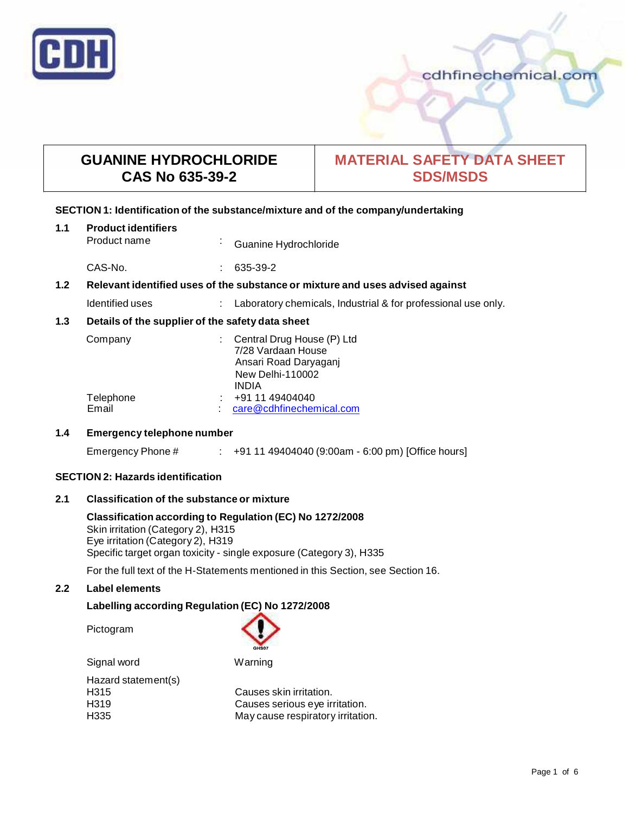

## cdhfinechemical.com

# **GUANINE HYDROCHLORIDE CAS No 635-39-2**

# **MATERIAL SAFETY DATA SHEET SDS/MSDS**

#### **SECTION 1: Identification of the substance/mixture and of the company/undertaking**

| 1.1                                                                                  | <b>Product identifiers</b><br>Product name       | ×. | Guanine Hydrochloride                                                                                                |
|--------------------------------------------------------------------------------------|--------------------------------------------------|----|----------------------------------------------------------------------------------------------------------------------|
|                                                                                      | CAS-No.                                          |    | 635-39-2                                                                                                             |
| 1.2<br>Relevant identified uses of the substance or mixture and uses advised against |                                                  |    |                                                                                                                      |
|                                                                                      | Identified uses                                  |    | Laboratory chemicals, Industrial & for professional use only.                                                        |
| 1.3                                                                                  | Details of the supplier of the safety data sheet |    |                                                                                                                      |
|                                                                                      | Company                                          |    | Central Drug House (P) Ltd<br>7/28 Vardaan House<br>Ansari Road Daryaganj<br><b>New Delhi-110002</b><br><b>INDIA</b> |
|                                                                                      | Telephone<br>Email                               |    | +91 11 49404040<br>care@cdhfinechemical.com                                                                          |

#### **1.4 Emergency telephone number**

| Emergency Phone # |  | +91 11 49404040 (9:00am - 6:00 pm) [Office hours] |
|-------------------|--|---------------------------------------------------|
|-------------------|--|---------------------------------------------------|

#### **SECTION 2: Hazards identification**

#### **2.1 Classification of the substance ormixture**

**Classification according to Regulation (EC) No 1272/2008** Skin irritation (Category 2), H315 Eye irritation (Category 2), H319 Specific target organ toxicity - single exposure (Category 3), H335

For the full text of the H-Statements mentioned in this Section, see Section 16.

#### **2.2 Label elements**

## **Labelling according Regulation (EC) No 1272/2008**

Pictogram



Signal word Warning

Hazard statement(s)<br>H315

Causes skin irritation. H319 Causes serious eye irritation. May cause respiratory irritation.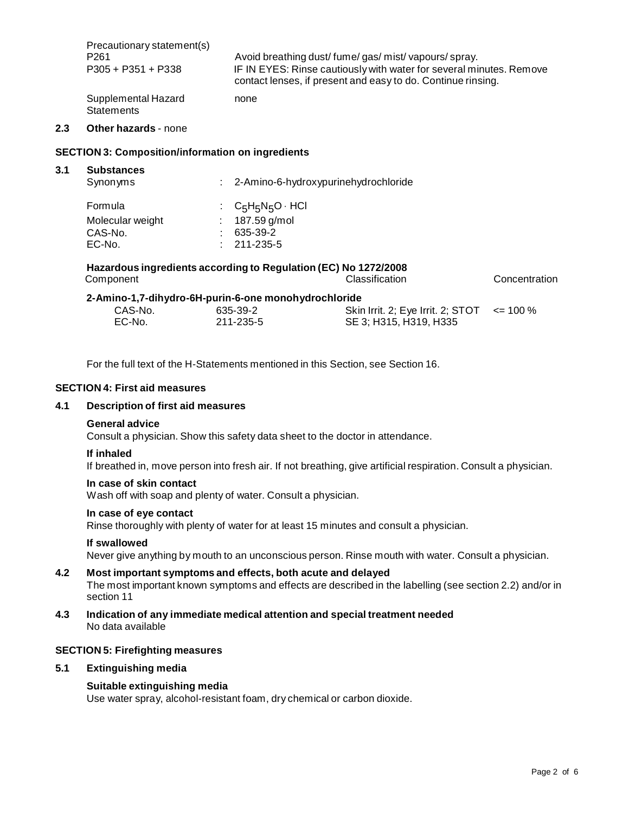| Precautionary statement(s)               | Avoid breathing dust/fume/gas/mist/vapours/spray.                   |
|------------------------------------------|---------------------------------------------------------------------|
| P <sub>261</sub>                         | IF IN EYES: Rinse cautiously with water for several minutes. Remove |
| $P305 + P351 + P338$                     | contact lenses, if present and easy to do. Continue rinsing.        |
| Supplemental Hazard<br><b>Statements</b> | none                                                                |

#### **2.3 Other hazards** - none

#### **SECTION 3: Composition/information on ingredients**

#### **3.1 Substances**

| Synonyms         |                          | : 2-Amino-6-hydroxypurinehydrochloride                          |               |
|------------------|--------------------------|-----------------------------------------------------------------|---------------|
| Formula          | : $C_5H_5N_5O \cdot HCl$ |                                                                 |               |
| Molecular weight | 187.59 g/mol             |                                                                 |               |
| CAS-No.          | 635-39-2                 |                                                                 |               |
| EC-No.           | 211-235-5                |                                                                 |               |
|                  |                          | Hazardous ingredients according to Regulation (EC) No 1272/2008 |               |
| Component        |                          | Classification                                                  | Concentration |

| 00.000.000.00 |                                                      | <u>oiuooinouuoni</u>                            | <u>ounuunuunun</u> |
|---------------|------------------------------------------------------|-------------------------------------------------|--------------------|
|               | 2-Amino-1,7-dihydro-6H-purin-6-one monohydrochloride |                                                 |                    |
| CAS-No.       | 635-39-2                                             | Skin Irrit. 2; Eye Irrit. 2; STOT $\le$ = 100 % |                    |
| EC-No.        | 211-235-5                                            | SE 3: H315, H319, H335                          |                    |

For the full text of the H-Statements mentioned in this Section, see Section 16.

#### **SECTION 4: First aid measures**

## **4.1 Description of first aid measures**

#### **General advice**

Consult a physician. Show this safety data sheet to the doctor in attendance.

#### **If inhaled**

If breathed in, move person into fresh air. If not breathing, give artificial respiration. Consult a physician.

#### **In case of skin contact**

Wash off with soap and plenty of water. Consult a physician.

## **In case of eye contact**

Rinse thoroughly with plenty of water for at least 15 minutes and consult a physician.

#### **If swallowed**

Never give anything by mouth to an unconscious person. Rinse mouth with water. Consult a physician.

#### **4.2 Most important symptoms and effects, both acute and delayed** The most important known symptoms and effects are described in the labelling (see section 2.2) and/or in section 11

**4.3 Indication of any immediate medical attention and special treatment needed** No data available

#### **SECTION 5: Firefighting measures**

#### **5.1 Extinguishing media**

#### **Suitable extinguishing media**

Use water spray, alcohol-resistant foam, dry chemical or carbon dioxide.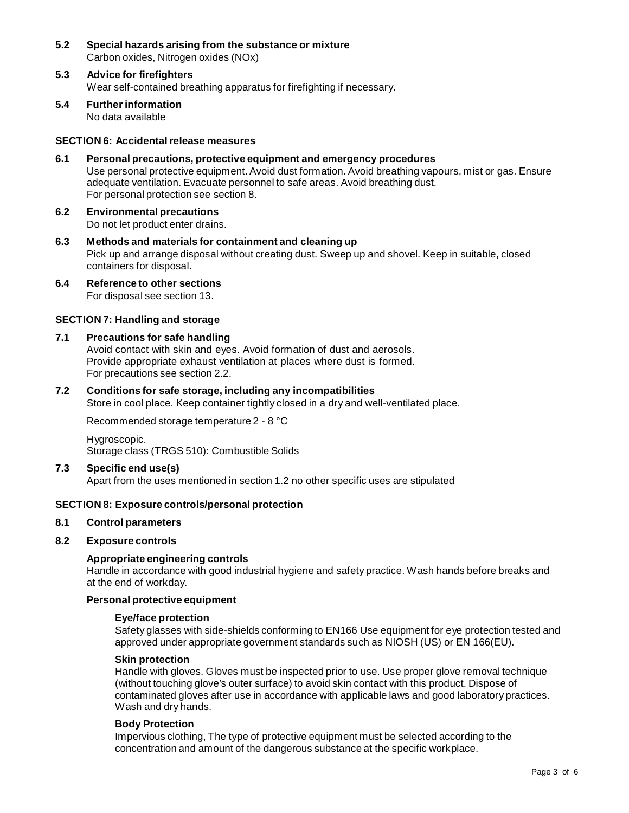- **5.2 Special hazards arising from the substance ormixture** Carbon oxides, Nitrogen oxides (NOx)
- **5.3 Advice for firefighters** Wear self-contained breathing apparatus for firefighting if necessary.
- **5.4 Further information** No data available

#### **SECTION 6: Accidentalrelease measures**

- **6.1 Personal precautions, protective equipment and emergency procedures** Use personal protective equipment. Avoid dust formation. Avoid breathing vapours, mist or gas. Ensure adequate ventilation. Evacuate personnel to safe areas. Avoid breathing dust. For personal protection see section 8.
- **6.2 Environmental precautions** Do not let product enter drains.
- **6.3 Methods and materials for containment and cleaning up** Pick up and arrange disposal without creating dust. Sweep up and shovel. Keep in suitable, closed containers for disposal.
- **6.4 Reference to other sections** For disposal see section 13.

## **SECTION 7: Handling and storage**

#### **7.1 Precautions for safe handling**

Avoid contact with skin and eyes. Avoid formation of dust and aerosols. Provide appropriate exhaust ventilation at places where dust is formed. For precautions see section 2.2.

#### **7.2 Conditions for safe storage, including any incompatibilities**

Store in cool place. Keep container tightly closed in a dry and well-ventilated place.

Recommended storage temperature 2 - 8 °C

Hygroscopic. Storage class (TRGS 510): Combustible Solids

#### **7.3 Specific end use(s)**

Apart from the uses mentioned in section 1.2 no other specific uses are stipulated

#### **SECTION 8: Exposure controls/personal protection**

#### **8.1 Control parameters**

#### **8.2 Exposure controls**

#### **Appropriate engineering controls**

Handle in accordance with good industrial hygiene and safety practice. Wash hands before breaks and at the end of workday.

## **Personal protective equipment**

#### **Eye/face protection**

Safety glasses with side-shields conforming to EN166 Use equipment for eye protection tested and approved under appropriate government standards such as NIOSH (US) or EN 166(EU).

## **Skin protection**

Handle with gloves. Gloves must be inspected prior to use. Use proper glove removal technique (without touching glove's outer surface) to avoid skin contact with this product. Dispose of contaminated gloves after use in accordance with applicable laws and good laboratory practices. Wash and dry hands.

#### **Body Protection**

Impervious clothing, The type of protective equipment must be selected according to the concentration and amount of the dangerous substance at the specific workplace.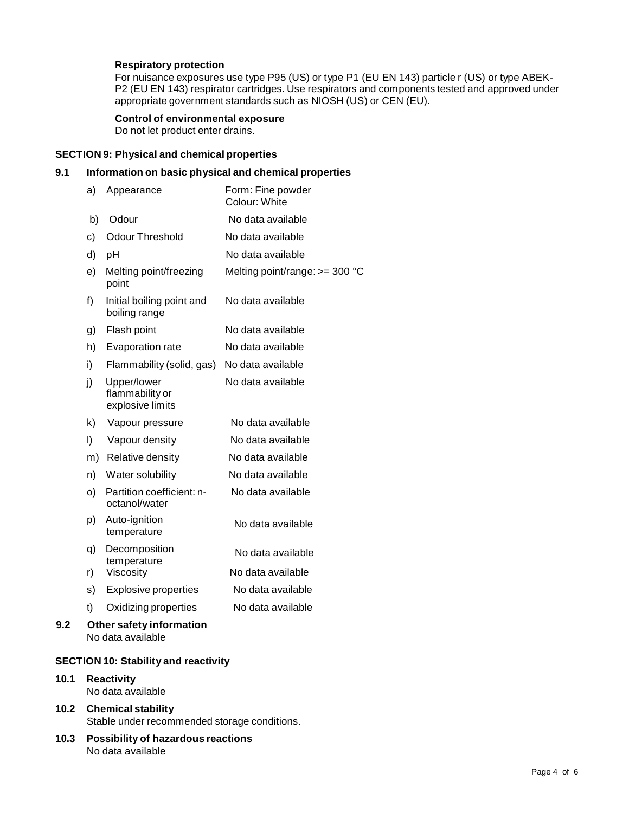#### **Respiratory protection**

For nuisance exposures use type P95 (US) or type P1 (EU EN 143) particle r (US) or type ABEK- P2 (EU EN 143) respirator cartridges. Use respirators and components tested and approved under appropriate government standards such as NIOSH (US) or CEN (EU).

#### **Control of environmental exposure**

Do not let product enter drains.

#### **SECTION 9: Physical and chemical properties**

## **9.1 Information on basic physical and chemical properties**

|     | a)      | Appearance                                         | Form: Fine powder<br>Colour: White |
|-----|---------|----------------------------------------------------|------------------------------------|
|     | b)      | Odour                                              | No data available                  |
|     | c)      | <b>Odour Threshold</b>                             | No data available                  |
|     | d)      | рH                                                 | No data available                  |
|     | e)      | Melting point/freezing<br>point                    | Melting point/range: $>=$ 300 °C   |
|     | f)      | Initial boiling point and<br>boiling range         | No data available                  |
|     | g)      | Flash point                                        | No data available                  |
|     | h)      | Evaporation rate                                   | No data available                  |
|     | i)      | Flammability (solid, gas)                          | No data available                  |
|     | j)      | Upper/lower<br>flammability or<br>explosive limits | No data available                  |
|     | k)      | Vapour pressure                                    | No data available                  |
|     | $\vert$ | Vapour density                                     | No data available                  |
|     | m)      | Relative density                                   | No data available                  |
|     | n)      | Water solubility                                   | No data available                  |
|     | O)      | Partition coefficient: n-<br>octanol/water         | No data available                  |
|     | p)      | Auto-ignition<br>temperature                       | No data available                  |
|     | q)      | Decomposition<br>temperature                       | No data available                  |
|     | r)      | Viscosity                                          | No data available                  |
|     | s)      | <b>Explosive properties</b>                        | No data available                  |
|     | t)      | Oxidizing properties                               | No data available                  |
| 9.2 |         | Other safety information                           |                                    |

No data available

## **SECTION 10: Stability and reactivity**

#### **10.1 Reactivity** No data available

## **10.2 Chemical stability** Stable under recommended storage conditions.

#### **10.3 Possibility of hazardous reactions** No data available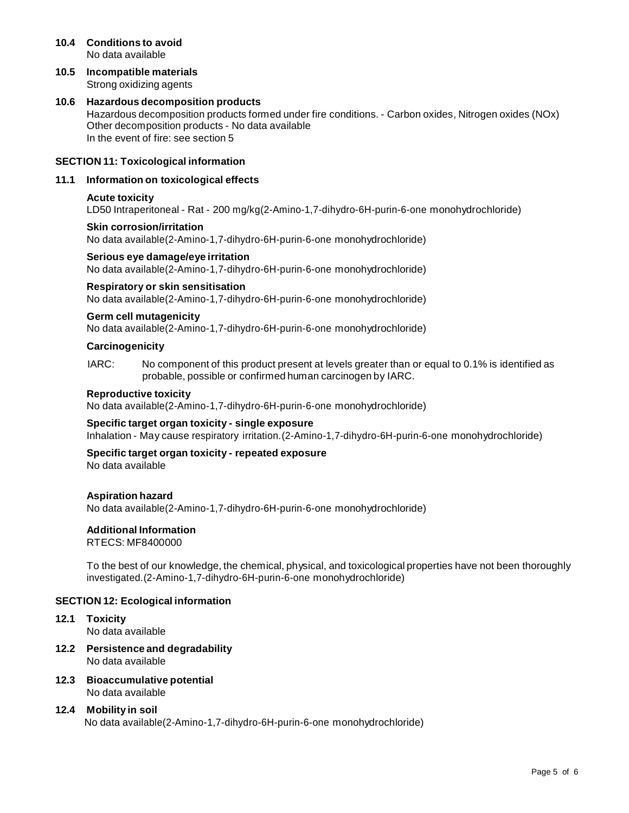#### **10.4 Conditions to avoid** No data available

**10.5 Incompatible materials** Strong oxidizing agents

#### **10.6 Hazardous decomposition products** Hazardous decomposition products formed under fire conditions. - Carbon oxides, Nitrogen oxides (NOx) Other decomposition products - No data available In the event of fire: see section 5

## **SECTION 11: Toxicological information**

#### **11.1 Information on toxicological effects**

#### **Acute toxicity**

LD50 Intraperitoneal - Rat - 200 mg/kg(2-Amino-1,7-dihydro-6H-purin-6-one monohydrochloride)

#### **Skin corrosion/irritation**

No data available(2-Amino-1,7-dihydro-6H-purin-6-one monohydrochloride)

#### **Serious eye damage/eye irritation**

No data available(2-Amino-1,7-dihydro-6H-purin-6-one monohydrochloride)

## **Respiratory orskin sensitisation**

No data available(2-Amino-1,7-dihydro-6H-purin-6-one monohydrochloride)

#### **Germ cell mutagenicity**

No data available(2-Amino-1,7-dihydro-6H-purin-6-one monohydrochloride)

#### **Carcinogenicity**

IARC: No component of this product present at levels greater than or equal to 0.1% is identified as probable, possible or confirmed human carcinogen by IARC.

## **Reproductive toxicity**

No data available(2-Amino-1,7-dihydro-6H-purin-6-one monohydrochloride)

#### **Specific target organ toxicity - single exposure**

Inhalation - May cause respiratory irritation.(2-Amino-1,7-dihydro-6H-purin-6-one monohydrochloride)

## **Specific target organ toxicity - repeated exposure**

No data available

#### **Aspiration hazard**

No data available(2-Amino-1,7-dihydro-6H-purin-6-one monohydrochloride)

#### **Additional Information**

RTECS: MF8400000

To the best of our knowledge, the chemical, physical, and toxicological properties have not been thoroughly investigated.(2-Amino-1,7-dihydro-6H-purin-6-one monohydrochloride)

#### **SECTION 12: Ecological information**

- **12.1 Toxicity** No data available
- **12.2 Persistence and degradability** No data available
- **12.3 Bioaccumulative potential** No data available

## **12.4 Mobility in soil** No data available(2-Amino-1,7-dihydro-6H-purin-6-one monohydrochloride)